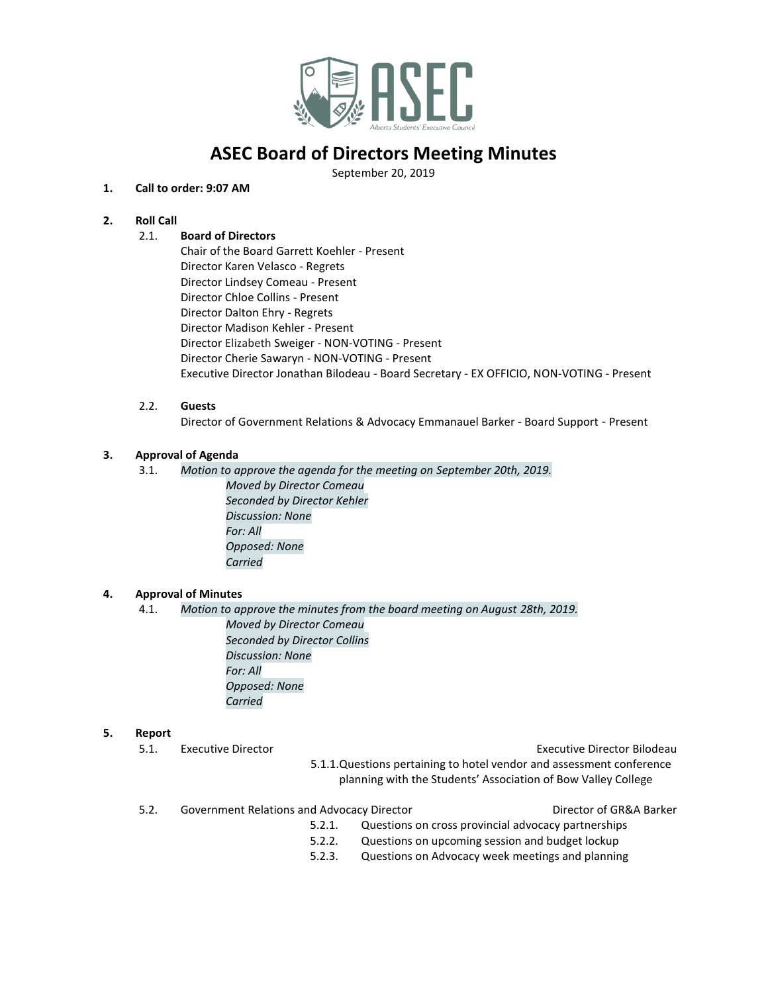

# **ASEC Board of Directors Meeting Minutes**

September 20, 2019

# **1. Call to order: 9:07 AM**

# **2. Roll Call**

# 2.1. **Board of Directors**

Chair of the Board Garrett Koehler - Present Director Karen Velasco - Regrets Director Lindsey Comeau - Present Director Chloe Collins - Present Director Dalton Ehry - Regrets Director Madison Kehler - Present Director Elizabeth Sweiger - NON-VOTING - Present Director Cherie Sawaryn - NON-VOTING - Present Executive Director Jonathan Bilodeau - Board Secretary - EX OFFICIO, NON-VOTING - Present

### 2.2. **Guests**

Director of Government Relations & Advocacy Emmanauel Barker - Board Support - Present

# **3. Approval of Agenda**

- 3.1. *Motion to approve the agenda for the meeting on September 20th, 2019.*
	- *Moved by Director Comeau Seconded by Director Kehler Discussion: None For: All Opposed: None Carried*

### **4. Approval of Minutes**

4.1. *Motion to approve the minutes from the board meeting on August 28th, 2019. Moved by Director Comeau Seconded by Director Collins Discussion: None For: All Opposed: None Carried*

#### **5. Report**

5.1. Executive Director Executive Director Bilodeau

- 5.1.1.Questions pertaining to hotel vendor and assessment conference planning with the Students' Association of Bow Valley College
- 5.2. Government Relations and Advocacy Director Director of GR&A Barker

- 5.2.1. Questions on cross provincial advocacy partnerships
- 5.2.2. Questions on upcoming session and budget lockup
- 5.2.3. Questions on Advocacy week meetings and planning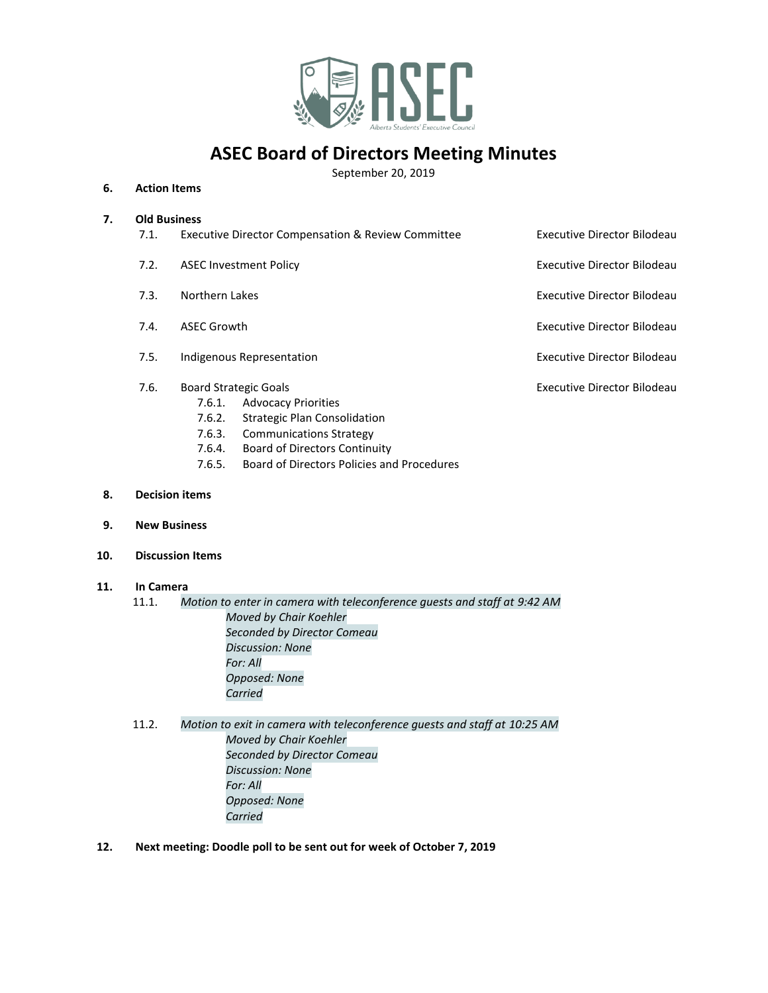

# **ASEC Board of Directors Meeting Minutes**

September 20, 2019

### **6. Action Items**

#### **7. Old Business**

- 7.1. Executive Director Compensation & Review Committee **Executive Director Bilodeau** 7.2. ASEC Investment Policy **Executive Director Bilodeau** Executive Director Bilodeau 7.3. Northern Lakes **Executive Director Bilodeau Executive Director Bilodeau** 7.4. ASEC Growth **Executive Director Bilodeau** 7.5. Indigenous Representation **Executive Director Bilodeau** 7.6. Board Strategic Goals Executive Director Bilodeau 7.6.1. Advocacy Priorities 7.6.2. Strategic Plan Consolidation
	- 7.6.3. Communications Strategy
	- 7.6.4. Board of Directors Continuity
	- 7.6.5. Board of Directors Policies and Procedures
- **8. Decision items**
- **9. New Business**
- **10. Discussion Items**

# **11. In Camera**

- 11.1. *Motion to enter in camera with teleconference guests and staff at 9:42 AM Moved by Chair Koehler Seconded by Director Comeau Discussion: None For: All Opposed: None Carried*
- 11.2. *Motion to exit in camera with teleconference guests and staff at 10:25 AM Moved by Chair Koehler Seconded by Director Comeau Discussion: None For: All Opposed: None Carried*
- **12. Next meeting: Doodle poll to be sent out for week of October 7, 2019**